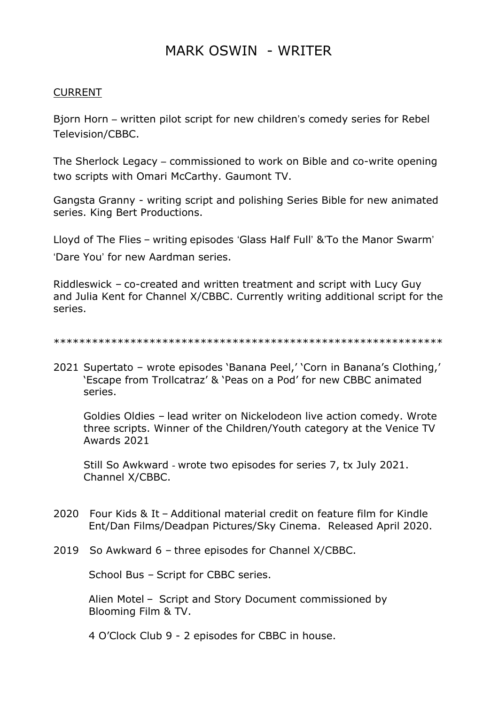## MARK OSWIN - WRITER

# CURRENT

Bjorn Horn - written pilot script for new children's comedy series for Rebel Television/CBBC.

The Sherlock Legacy - commissioned to work on Bible and co-write opening two scripts with Omari McCarthy. Gaumont TV.

Gangsta Granny - writing script and polishing Series Bible for new animated series. King Bert Productions.

Lloyd of The Flies - writing episodes 'Glass Half Full' &'To the Manor Swarm' 'Dare You' for new Aardman series.

Riddleswick – co-created and written treatment and script with Lucy Guy and Julia Kent for Channel X/CBBC. Currently writing additional script for the series.

```
*************************************************************
```
2021 Supertato – wrote episodes 'Banana Peel,' 'Corn in Banana's Clothing,' 'Escape from Trollcatraz' & 'Peas on a Pod' for new CBBC animated series.

Goldies Oldies – lead writer on Nickelodeon live action comedy. Wrote three scripts. Winner of the Children/Youth category at the Venice TV Awards 2021

Still So Awkward - wrote two episodes for series 7, tx July 2021. Channel X/CBBC.

- 2020 Four Kids & It Additional material credit on feature film for Kindle Ent/Dan Films/Deadpan Pictures/Sky Cinema. Released April 2020.
- 2019 So Awkward 6 three episodes for Channel X/CBBC.

School Bus – Script for CBBC series.

 Alien Motel – Script and Story Document commissioned by Blooming Film & TV.

4 O'Clock Club 9 - 2 episodes for CBBC in house.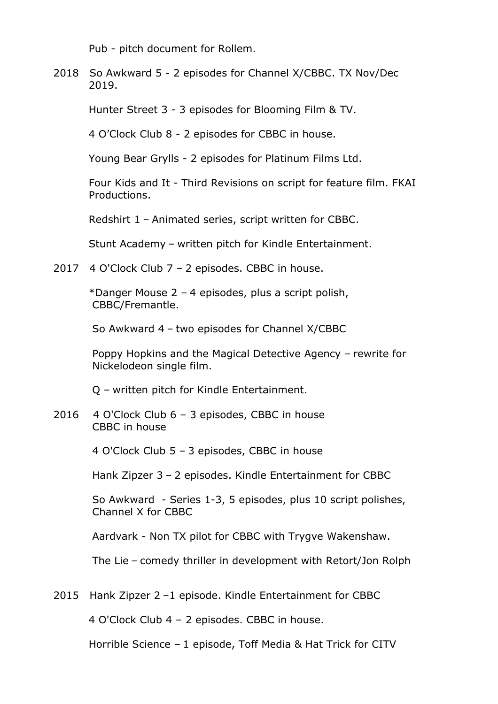Pub - pitch document for Rollem.

2018 So Awkward 5 - 2 episodes for Channel X/CBBC. TX Nov/Dec 2019.

Hunter Street 3 - 3 episodes for Blooming Film & TV.

4 O'Clock Club 8 - 2 episodes for CBBC in house.

Young Bear Grylls - 2 episodes for Platinum Films Ltd.

 Four Kids and It - Third Revisions on script for feature film. FKAI Productions.

Redshirt 1 – Animated series, script written for CBBC.

Stunt Academy – written pitch for Kindle Entertainment.

2017 4 O'Clock Club 7 – 2 episodes. CBBC in house.

 \*Danger Mouse 2 – 4 episodes, plus a script polish, CBBC/Fremantle.

So Awkward 4 – two episodes for Channel X/CBBC

 Poppy Hopkins and the Magical Detective Agency – rewrite for Nickelodeon single film.

Q – written pitch for Kindle Entertainment.

2016 4 O'Clock Club 6 – 3 episodes, CBBC in house CBBC in house

4 O'Clock Club 5 – 3 episodes, CBBC in house

Hank Zipzer 3 – 2 episodes. Kindle Entertainment for CBBC

 So Awkward - Series 1-3, 5 episodes, plus 10 script polishes, Channel X for CBBC

Aardvark - Non TX pilot for CBBC with Trygve Wakenshaw.

The Lie – comedy thriller in development with Retort/Jon Rolph

2015 Hank Zipzer 2 –1 episode. Kindle Entertainment for CBBC

4 O'Clock Club 4 – 2 episodes. CBBC in house.

Horrible Science – 1 episode, Toff Media & Hat Trick for CITV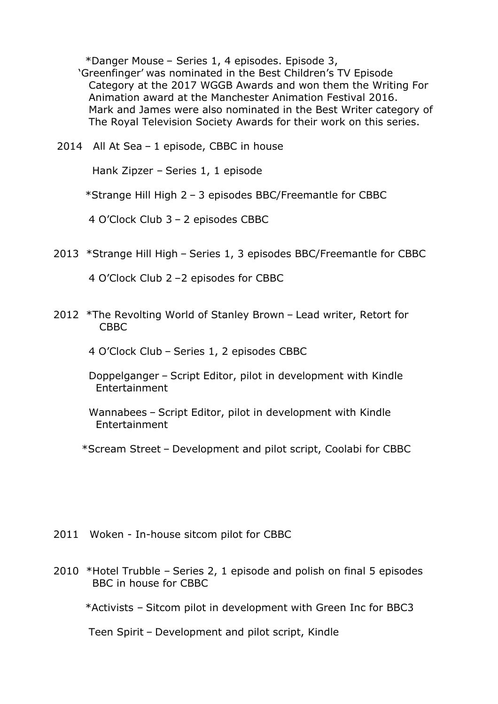\*Danger Mouse – Series 1, 4 episodes. Episode 3,

 'Greenfinger' was nominated in the Best Children's TV Episode Category at the 2017 WGGB Awards and won them the Writing For Animation award at the Manchester Animation Festival 2016. Mark and James were also nominated in the Best Writer category of The Royal Television Society Awards for their work on this series.

2014 All At Sea – 1 episode, CBBC in house

Hank Zipzer – Series 1, 1 episode

\*Strange Hill High 2 – 3 episodes BBC/Freemantle for CBBC

4 O'Clock Club 3 – 2 episodes CBBC

2013 \*Strange Hill High – Series 1, 3 episodes BBC/Freemantle for CBBC

4 O'Clock Club 2 –2 episodes for CBBC

2012 \*The Revolting World of Stanley Brown – Lead writer, Retort for CBBC

4 O'Clock Club – Series 1, 2 episodes CBBC

- Doppelganger Script Editor, pilot in development with Kindle Entertainment
- Wannabees Script Editor, pilot in development with Kindle Entertainment
- \*Scream Street Development and pilot script, Coolabi for CBBC

- 2011 Woken In-house sitcom pilot for CBBC
- 2010 \*Hotel Trubble Series 2, 1 episode and polish on final 5 episodes BBC in house for CBBC

\*Activists – Sitcom pilot in development with Green Inc for BBC3

Teen Spirit – Development and pilot script, Kindle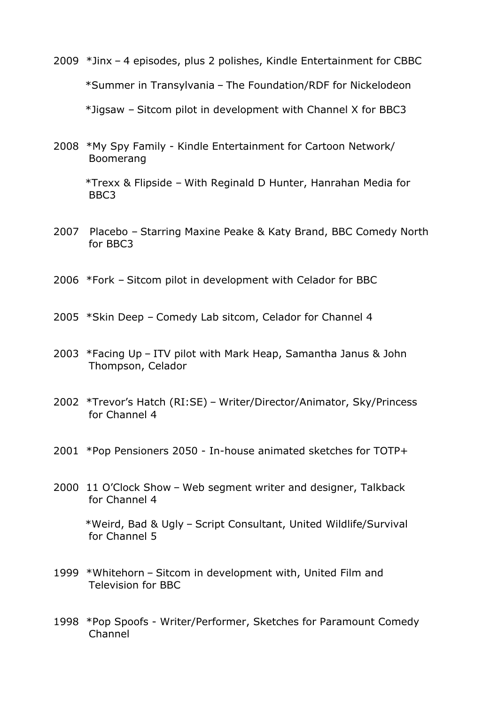- 2009 \*Jinx 4 episodes, plus 2 polishes, Kindle Entertainment for CBBC \*Summer in Transylvania – The Foundation/RDF for Nickelodeon \*Jigsaw – Sitcom pilot in development with Channel X for BBC3
- 2008 \*My Spy Family Kindle Entertainment for Cartoon Network/ Boomerang

 \*Trexx & Flipside – With Reginald D Hunter, Hanrahan Media for BBC3

- 2007 Placebo Starring Maxine Peake & Katy Brand, BBC Comedy North for BBC3
- 2006 \*Fork Sitcom pilot in development with Celador for BBC
- 2005 \*Skin Deep Comedy Lab sitcom, Celador for Channel 4
- 2003 \*Facing Up ITV pilot with Mark Heap, Samantha Janus & John Thompson, Celador
- 2002 \*Trevor's Hatch (RI:SE) Writer/Director/Animator, Sky/Princess for Channel 4
- 2001 \*Pop Pensioners 2050 In-house animated sketches for TOTP+
- 2000 11 O'Clock Show Web segment writer and designer, Talkback for Channel 4 \*Weird, Bad & Ugly – Script Consultant, United Wildlife/Survival for Channel 5
- 1999 \*Whitehorn Sitcom in development with, United Film and Television for BBC
- 1998 \*Pop Spoofs Writer/Performer, Sketches for Paramount Comedy Channel